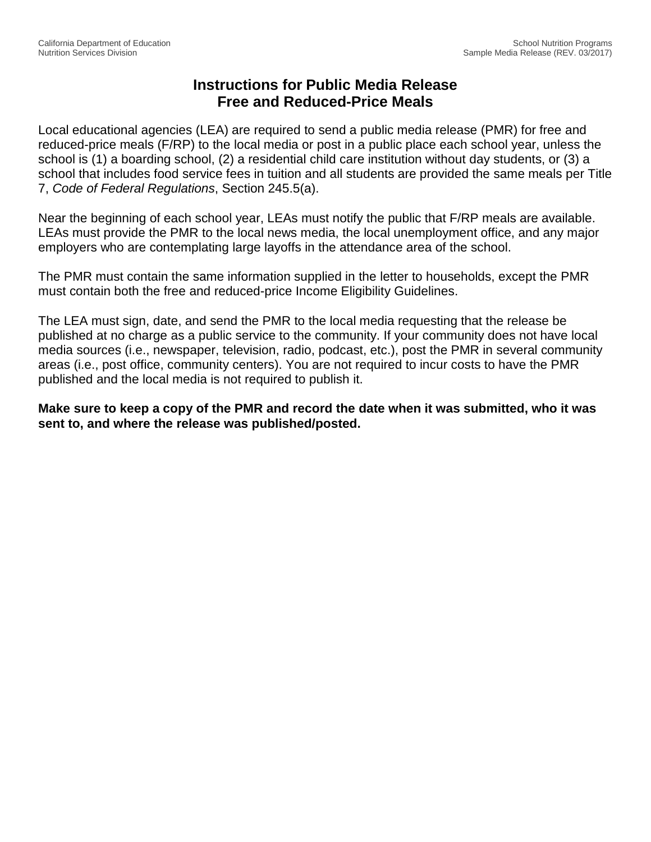## **Instructions for Public Media Release Free and Reduced-Price Meals**

Local educational agencies (LEA) are required to send a public media release (PMR) for free and reduced-price meals (F/RP) to the local media or post in a public place each school year, unless the school is (1) a boarding school, (2) a residential child care institution without day students, or (3) a school that includes food service fees in tuition and all students are provided the same meals per Title 7, *Code of Federal Regulations*, Section 245.5(a).

Near the beginning of each school year, LEAs must notify the public that F/RP meals are available. LEAs must provide the PMR to the local news media, the local unemployment office, and any major employers who are contemplating large layoffs in the attendance area of the school.

The PMR must contain the same information supplied in the letter to households, except the PMR must contain both the free and reduced-price Income Eligibility Guidelines.

The LEA must sign, date, and send the PMR to the local media requesting that the release be published at no charge as a public service to the community. If your community does not have local media sources (i.e., newspaper, television, radio, podcast, etc.), post the PMR in several community areas (i.e., post office, community centers). You are not required to incur costs to have the PMR published and the local media is not required to publish it.

**Make sure to keep a copy of the PMR and record the date when it was submitted, who it was sent to, and where the release was published/posted.**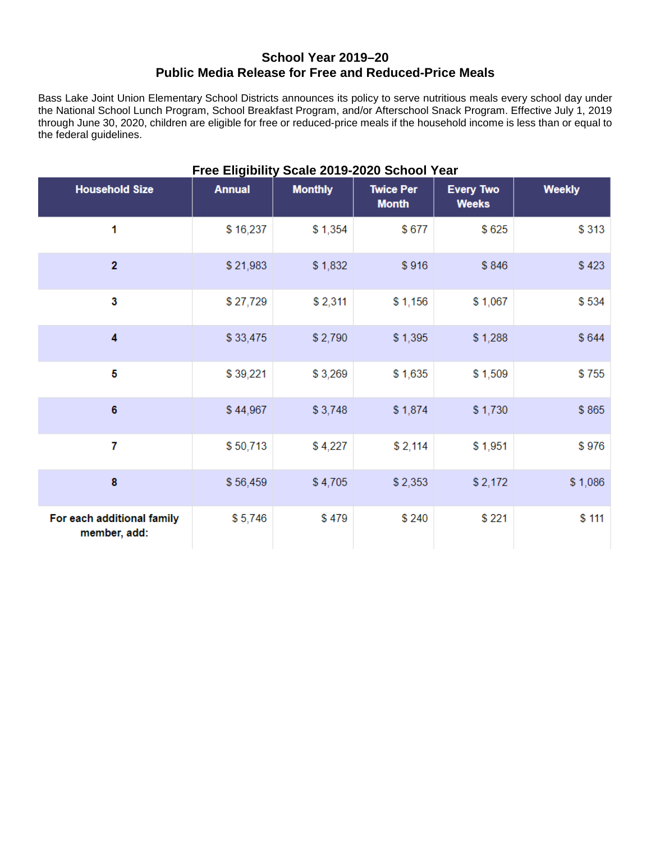## **School Year 2019–20 Public Media Release for Free and Reduced-Price Meals**

Bass Lake Joint Union Elementary School Districts announces its policy to serve nutritious meals every school day under the National School Lunch Program, School Breakfast Program, and/or Afterschool Snack Program. Effective July 1, 2019 through June 30, 2020, children are eligible for free or reduced-price meals if the household income is less than or equal to the federal guidelines.

| Free Eligibility Scale 2019-2020 School Year |               |                |                                  |                                  |               |  |  |  |  |
|----------------------------------------------|---------------|----------------|----------------------------------|----------------------------------|---------------|--|--|--|--|
| <b>Household Size</b>                        | <b>Annual</b> | <b>Monthly</b> | <b>Twice Per</b><br><b>Month</b> | <b>Every Two</b><br><b>Weeks</b> | <b>Weekly</b> |  |  |  |  |
| 1                                            | \$16,237      | \$1,354        | \$677                            | \$625                            | \$313         |  |  |  |  |
| $\overline{2}$                               | \$21,983      | \$1,832        | \$916                            | \$846                            | \$423         |  |  |  |  |
| 3                                            | \$27,729      | \$2,311        | \$1,156                          | \$1,067                          | \$534         |  |  |  |  |
| 4                                            | \$33,475      | \$2,790        | \$1,395                          | \$1,288                          | \$644         |  |  |  |  |
| 5                                            | \$39,221      | \$3,269        | \$1,635                          | \$1,509                          | \$755         |  |  |  |  |
| $6\phantom{1}$                               | \$44,967      | \$3,748        | \$1,874                          | \$1,730                          | \$865         |  |  |  |  |
| $\overline{7}$                               | \$50,713      | \$4,227        | \$2,114                          | \$1,951                          | \$976         |  |  |  |  |
| $\bf{8}$                                     | \$56,459      | \$4,705        | \$2,353                          | \$2,172                          | \$1,086       |  |  |  |  |
| For each additional family<br>member, add:   | \$5,746       | \$479          | \$240                            | \$221                            | \$111         |  |  |  |  |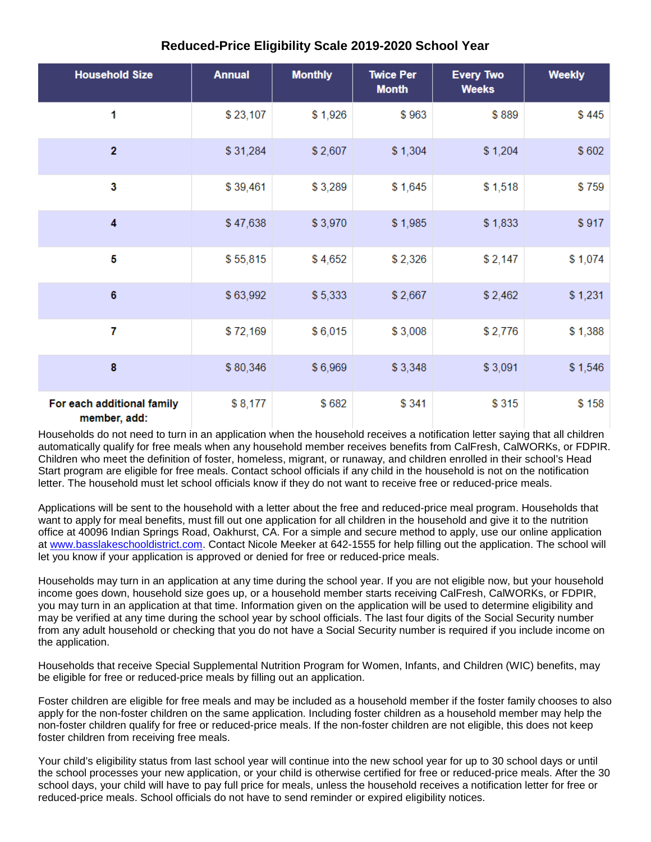## **Reduced-Price Eligibility Scale 2019-2020 School Year**

| <b>Household Size</b>                      | <b>Annual</b> | <b>Monthly</b> | <b>Twice Per</b><br><b>Month</b> | <b>Every Two</b><br><b>Weeks</b> | <b>Weekly</b> |
|--------------------------------------------|---------------|----------------|----------------------------------|----------------------------------|---------------|
| 1                                          | \$23,107      | \$1,926        | \$963                            | \$889                            | \$445         |
| $\overline{2}$                             | \$31,284      | \$2,607        | \$1,304                          | \$1,204                          | \$602         |
| 3                                          | \$39,461      | \$3,289        | \$1,645                          | \$1,518                          | \$759         |
| 4                                          | \$47,638      | \$3,970        | \$1,985                          | \$1,833                          | \$917         |
| 5                                          | \$55,815      | \$4,652        | \$2,326                          | \$2,147                          | \$1,074       |
| $6\phantom{1}$                             | \$63,992      | \$5,333        | \$2,667                          | \$2,462                          | \$1,231       |
| 7                                          | \$72,169      | \$6,015        | \$3,008                          | \$2,776                          | \$1,388       |
| 8                                          | \$80,346      | \$6,969        | \$3,348                          | \$3,091                          | \$1,546       |
| For each additional family<br>member, add: | \$8,177       | \$682          | \$341                            | \$315                            | \$158         |

Households do not need to turn in an application when the household receives a notification letter saying that all children automatically qualify for free meals when any household member receives benefits from CalFresh, CalWORKs, or FDPIR. Children who meet the definition of foster, homeless, migrant, or runaway, and children enrolled in their school's Head Start program are eligible for free meals. Contact school officials if any child in the household is not on the notification letter. The household must let school officials know if they do not want to receive free or reduced-price meals.

Applications will be sent to the household with a letter about the free and reduced-price meal program. Households that want to apply for meal benefits, must fill out one application for all children in the household and give it to the nutrition office at 40096 Indian Springs Road, Oakhurst, CA. For a simple and secure method to apply, use our online application at [www.basslakeschooldistrict.com.](http://www.basslakeschooldistrict.com/) Contact Nicole Meeker at 642-1555 for help filling out the application. The school will let you know if your application is approved or denied for free or reduced-price meals.

Households may turn in an application at any time during the school year. If you are not eligible now, but your household income goes down, household size goes up, or a household member starts receiving CalFresh, CalWORKs, or FDPIR, you may turn in an application at that time. Information given on the application will be used to determine eligibility and may be verified at any time during the school year by school officials. The last four digits of the Social Security number from any adult household or checking that you do not have a Social Security number is required if you include income on the application.

Households that receive Special Supplemental Nutrition Program for Women, Infants, and Children (WIC) benefits, may be eligible for free or reduced-price meals by filling out an application.

Foster children are eligible for free meals and may be included as a household member if the foster family chooses to also apply for the non-foster children on the same application. Including foster children as a household member may help the non-foster children qualify for free or reduced-price meals. If the non-foster children are not eligible, this does not keep foster children from receiving free meals.

Your child's eligibility status from last school year will continue into the new school year for up to 30 school days or until the school processes your new application, or your child is otherwise certified for free or reduced-price meals. After the 30 school days, your child will have to pay full price for meals, unless the household receives a notification letter for free or reduced-price meals. School officials do not have to send reminder or expired eligibility notices.